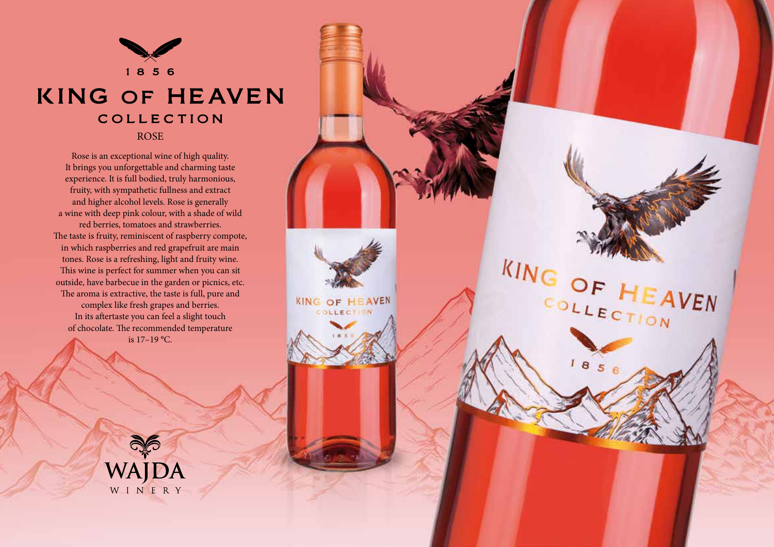

## **KING OF HEAVEN** COLLECTION ROSE

Rose is an exceptional wine of high quality. It brings you unforgettable and charming taste experience. It is full bodied, truly harmonious, fruity, with sympathetic fullness and extract and higher alcohol levels. Rose is generally a wine with deep pink colour, with a shade of wild red berries, tomatoes and strawberries. The taste is fruity, reminiscent of raspberry compote, in which raspberries and red grapefruit are main tones. Rose is a refreshing, light and fruity wine. This wine is perfect for summer when you can sit outside, have barbecue in the garden or picnics, etc. The aroma is extractive, the taste is full, pure and complex like fresh grapes and berries. In its aftertaste you can feel a slight touch of chocolate. The recommended temperature is 17–19 °C.

**KING OF HEAVEN** 

KING OF HEAVEN

COLLECTION

 $185$